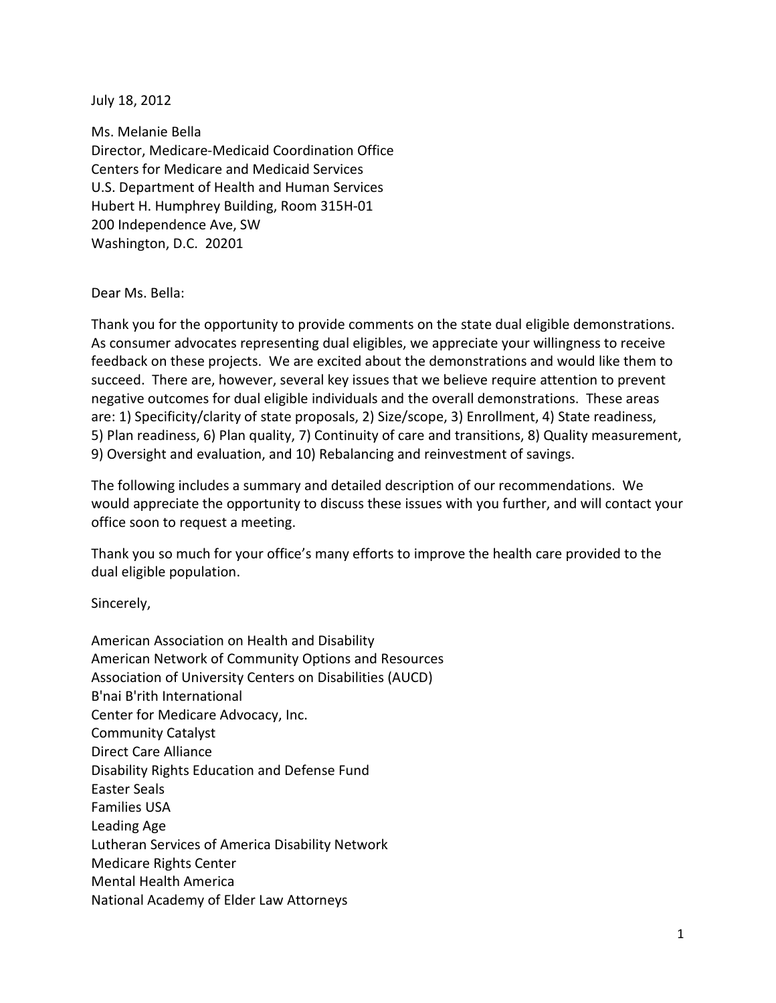July 18, 2012

Ms. Melanie Bella Director, Medicare-Medicaid Coordination Office Centers for Medicare and Medicaid Services U.S. Department of Health and Human Services Hubert H. Humphrey Building, Room 315H-01 200 Independence Ave, SW Washington, D.C. 20201

## Dear Ms. Bella:

Thank you for the opportunity to provide comments on the state dual eligible demonstrations. As consumer advocates representing dual eligibles, we appreciate your willingness to receive feedback on these projects. We are excited about the demonstrations and would like them to succeed. There are, however, several key issues that we believe require attention to prevent negative outcomes for dual eligible individuals and the overall demonstrations. These areas are: 1) Specificity/clarity of state proposals, 2) Size/scope, 3) Enrollment, 4) State readiness, 5) Plan readiness, 6) Plan quality, 7) Continuity of care and transitions, 8) Quality measurement, 9) Oversight and evaluation, and 10) Rebalancing and reinvestment of savings.

The following includes a summary and detailed description of our recommendations. We would appreciate the opportunity to discuss these issues with you further, and will contact your office soon to request a meeting.

Thank you so much for your office's many efforts to improve the health care provided to the dual eligible population.

## Sincerely,

American Association on Health and Disability American Network of Community Options and Resources Association of University Centers on Disabilities (AUCD) B'nai B'rith International Center for Medicare Advocacy, Inc. Community Catalyst Direct Care Alliance Disability Rights Education and Defense Fund Easter Seals Families USA Leading Age Lutheran Services of America Disability Network Medicare Rights Center Mental Health America National Academy of Elder Law Attorneys